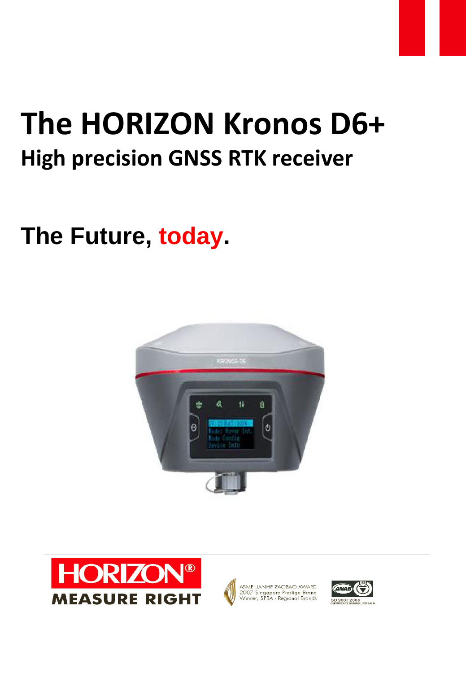# **The HORIZON Kronos D6+ High precision GNSS RTK receiver**

## **The Future, today.**







ASME LIANHE ZAOBAO AWARD<br>2007 Singapore Prestige Brand<br>Winner, SPBA - Regional Brands

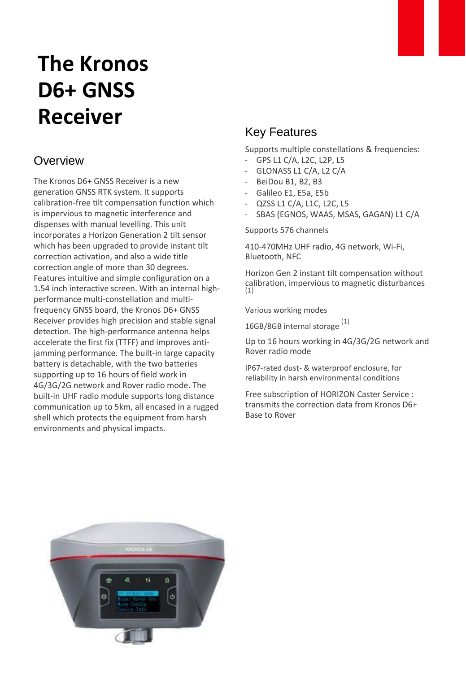### **The Kronos D6+ GNSS Receiver**

#### **Overview**

The Kronos D6+ GNSS Receiver is a new generation GNSS RTK system. It supports calibration-free tilt compensation function which is impervious to magnetic interference and dispenses with manual levelling. This unit incorporates a Horizon Generation 2 tilt sensor which has been upgraded to provide instant tilt correction activation, and also a wide title correction angle of more than 30 degrees. Features intuitive and simple configuration on a 1.54 inch interactive screen. With an internal highperformance multi-constellation and multifrequency GNSS board, the Kronos D6+ GNSS Receiver provides high precision and stable signal detection. The high-performance antenna helps accelerate the first fix (TTFF) and improves antijamming performance. The built-in large capacity battery is detachable, with the two batteries supporting up to 16 hours of field work in 4G/3G/2G network and Rover radio mode. The built-in UHF radio module supports long distance communication up to 5km, all encased in a rugged shell which protects the equipment from harsh environments and physical impacts.

#### Key Features

Supports multiple constellations & frequencies:

- GPS L1 C/A, L2C, L2P, L5
- GLONASS L1 C/A, L2 C/A
- BeiDou B1, B2, B3
- Galileo E1, E5a, E5b
- QZSS L1 C/A, L1C, L2C, L5
- SBAS (EGNOS, WAAS, MSAS, GAGAN) L1 C/A

Supports 576 channels

410-470MHz UHF radio, 4G network, Wi-Fi, Bluetooth, NFC

Horizon Gen 2 instant tilt compensation without calibration, impervious to magnetic disturbances (1)

Various working modes

16GB/8GB internal storage (1)

Up to 16 hours working in 4G/3G/2G network and Rover radio mode

IP67-rated dust- & waterproof enclosure, for reliability in harsh environmental conditions

Free subscription of HORIZON Caster Service : transmits the correction data from Kronos D6+ Base to Rover

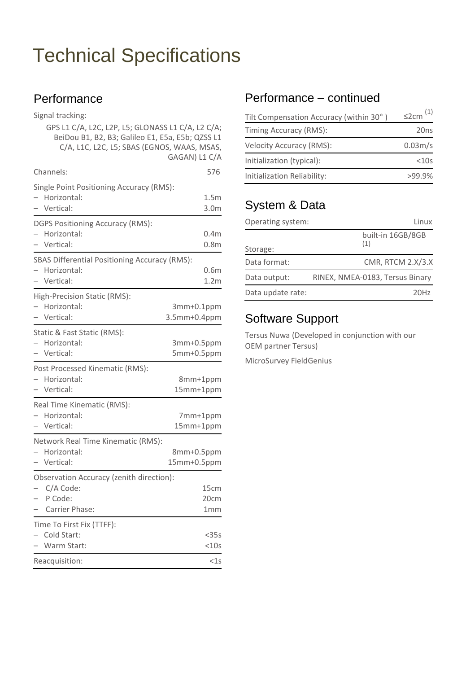#### **Performance**

Signal tracking:

|                          | GPS L1 C/A, L2C, L2P, L5; GLONASS L1 C/A, L2 C/A;<br>BeiDou B1, B2, B3; Galileo E1, E5a, E5b; QZSS L1 |                  |
|--------------------------|-------------------------------------------------------------------------------------------------------|------------------|
|                          | C/A, L1C, L2C, L5; SBAS (EGNOS, WAAS, MSAS,                                                           |                  |
|                          |                                                                                                       | GAGAN) L1 C/A    |
|                          | Channels:                                                                                             | 576              |
|                          | Single Point Positioning Accuracy (RMS):                                                              |                  |
|                          | Horizontal:                                                                                           | 1.5m             |
|                          | Vertical:                                                                                             | 3.0 <sub>m</sub> |
|                          | <b>DGPS Positioning Accuracy (RMS):</b>                                                               |                  |
|                          | Horizontal:                                                                                           | 0.4 <sub>m</sub> |
|                          | Vertical:                                                                                             | 0.8 <sub>m</sub> |
|                          | SBAS Differential Positioning Accuracy (RMS):                                                         |                  |
|                          | Horizontal:                                                                                           | 0.6 <sub>m</sub> |
|                          | Vertical:                                                                                             | 1.2 <sub>m</sub> |
|                          | High-Precision Static (RMS):                                                                          |                  |
|                          | Horizontal:                                                                                           | 3mm+0.1ppm       |
|                          | Vertical:                                                                                             | 3.5mm+0.4ppm     |
|                          | Static & Fast Static (RMS):                                                                           |                  |
|                          | Horizontal:                                                                                           | 3mm+0.5ppm       |
|                          | Vertical:                                                                                             | 5mm+0.5ppm       |
|                          | Post Processed Kinematic (RMS):                                                                       |                  |
|                          | Horizontal:                                                                                           | 8mm+1ppm         |
|                          | Vertical:                                                                                             | 15mm+1ppm        |
|                          | Real Time Kinematic (RMS):                                                                            |                  |
|                          | Horizontal:                                                                                           | 7mm+1ppm         |
|                          | Vertical:                                                                                             | 15mm+1ppm        |
|                          | Network Real Time Kinematic (RMS):                                                                    |                  |
|                          | Horizontal:                                                                                           | 8mm+0.5ppm       |
|                          | Vertical:                                                                                             | 15mm+0.5ppm      |
|                          | Observation Accuracy (zenith direction):                                                              |                  |
|                          | C/A Code:                                                                                             | 15cm             |
| $\overline{\phantom{0}}$ | P Code:                                                                                               | 20cm             |
|                          | Carrier Phase:                                                                                        | 1 <sub>mm</sub>  |
|                          | Time To First Fix (TTFF):                                                                             |                  |
|                          | Cold Start:                                                                                           | $<$ 35s          |
|                          | Warm Start:                                                                                           | $<$ 10s          |
|                          | Reacquisition:                                                                                        | $<$ 1s           |

#### Performance – continued

| Tilt Compensation Accuracy (within 30°) | $\leq$ 2cm $(1)$     |
|-----------------------------------------|----------------------|
| Timing Accuracy (RMS):                  | 20 <sub>ns</sub>     |
| <b>Velocity Accuracy (RMS):</b>         | 0.03 <sub>m</sub> /s |
| Initialization (typical):               | $<$ 10s              |
| Initialization Reliability:             | $>99.9\%$            |

#### System & Data

| Operating system: | Linux                           |
|-------------------|---------------------------------|
| Storage:          | built-in 16GB/8GB<br>(1)        |
| Data format:      | CMR, RTCM 2.X/3.X               |
| Data output:      | RINEX, NMEA-0183, Tersus Binary |
| Data update rate: | 20H <sub>7</sub>                |

#### Software Support

Tersus Nuwa (Developed in conjunction with our OEM partner Tersus)

MicroSurvey FieldGenius